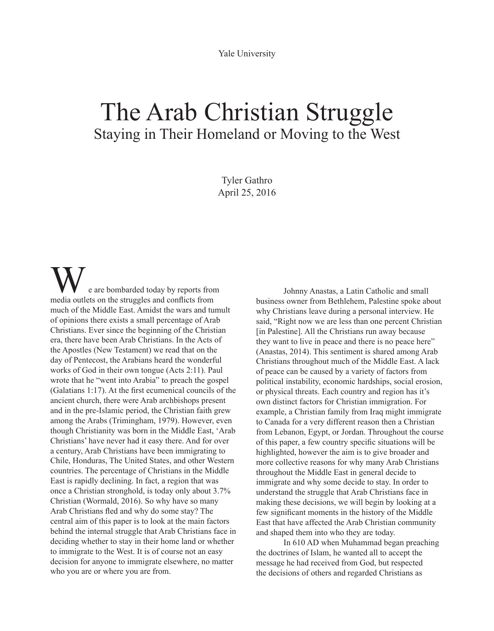Yale University

## The Arab Christian Struggle Staying in Their Homeland or Moving to the West

Tyler Gathro April 25, 2016

e are bombarded today by reports from media outlets on the struggles and conflicts from much of the Middle East. Amidst the wars and tumult of opinions there exists a small percentage of Arab Christians. Ever since the beginning of the Christian era, there have been Arab Christians. In the Acts of the Apostles (New Testament) we read that on the day of Pentecost, the Arabians heard the wonderful works of God in their own tongue (Acts 2:11). Paul wrote that he "went into Arabia" to preach the gospel (Galatians 1:17). At the first ecumenical councils of the ancient church, there were Arab archbishops present and in the pre-Islamic period, the Christian faith grew among the Arabs (Trimingham, 1979). However, even though Christianity was born in the Middle East, 'Arab Christians' have never had it easy there. And for over a century, Arab Christians have been immigrating to Chile, Honduras, The United States, and other Western countries. The percentage of Christians in the Middle East is rapidly declining. In fact, a region that was once a Christian stronghold, is today only about 3.7% Christian (Wormald, 2016). So why have so many Arab Christians fled and why do some stay? The central aim of this paper is to look at the main factors behind the internal struggle that Arab Christians face in deciding whether to stay in their home land or whether to immigrate to the West. It is of course not an easy decision for anyone to immigrate elsewhere, no matter who you are or where you are from.

Johnny Anastas, a Latin Catholic and small business owner from Bethlehem, Palestine spoke about why Christians leave during a personal interview. He said, "Right now we are less than one percent Christian [in Palestine]. All the Christians run away because they want to live in peace and there is no peace here" (Anastas, 2014). This sentiment is shared among Arab Christians throughout much of the Middle East. A lack of peace can be caused by a variety of factors from political instability, economic hardships, social erosion, or physical threats. Each country and region has it's own distinct factors for Christian immigration. For example, a Christian family from Iraq might immigrate to Canada for a very different reason then a Christian from Lebanon, Egypt, or Jordan. Throughout the course of this paper, a few country specific situations will be highlighted, however the aim is to give broader and more collective reasons for why many Arab Christians throughout the Middle East in general decide to immigrate and why some decide to stay. In order to understand the struggle that Arab Christians face in making these decisions, we will begin by looking at a few significant moments in the history of the Middle East that have affected the Arab Christian community and shaped them into who they are today.

In 610 AD when Muhammad began preaching the doctrines of Islam, he wanted all to accept the message he had received from God, but respected the decisions of others and regarded Christians as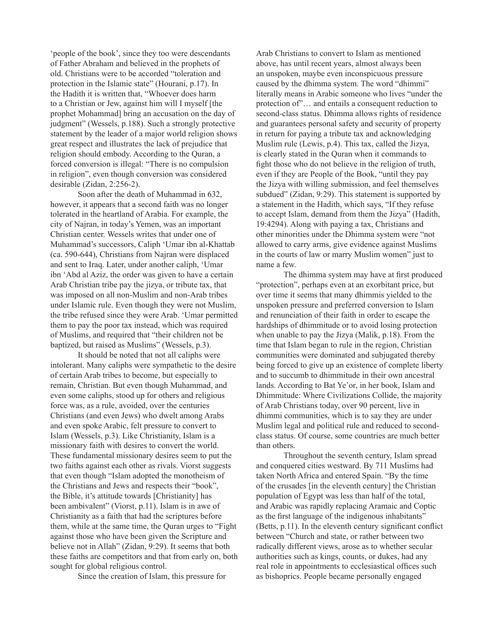'people of the book', since they too were descendants of Father Abraham and believed in the prophets of old. Christians were to be accorded "toleration and protection in the Islamic state" (Hourani, p.17). In the Hadith it is written that, "Whoever does harm to a Christian or Jew, against him will I myself [the prophet Mohammad] bring an accusation on the day of judgment" (Wessels, p.188). Such a strongly protective statement by the leader of a major world religion shows great respect and illustrates the lack of prejudice that religion should embody. According to the Quran, a forced conversion is illegal: "There is no compulsion in religion", even though conversion was considered desirable (Zidan, 2:256-2).

Soon after the death of Muhammad in 632, however, it appears that a second faith was no longer tolerated in the heartland of Arabia. For example, the city of Najran, in today's Yemen, was an important Christian center. Wessels writes that under one of Muhammad's successors, Caliph 'Umar ibn al-Khattab (ca. 590-644), Christians from Najran were displaced and sent to Iraq. Later, under another caliph, 'Umar ibn 'Abd al Aziz, the order was given to have a certain Arab Christian tribe pay the jizya, or tribute tax, that was imposed on all non-Muslim and non-Arab tribes under Islamic rule. Even though they were not Muslim, the tribe refused since they were Arab. 'Umar permitted them to pay the poor tax instead, which was required of Muslims, and required that "their children not be baptized, but raised as Muslims" (Wessels, p.3).

It should be noted that not all caliphs were intolerant. Many caliphs were sympathetic to the desire of certain Arab tribes to become, but especially to remain, Christian. But even though Muhammad, and even some caliphs, stood up for others and religious force was, as a rule, avoided, over the centuries Christians (and even Jews) who dwelt among Arabs and even spoke Arabic, felt pressure to convert to Islam (Wessels, p.3). Like Christianity, Islam is a missionary faith with desires to convert the world. These fundamental missionary desires seem to put the two faiths against each other as rivals. Viorst suggests that even though "Islam adopted the monotheism of the Christians and Jews and respects their "book", the Bible, it's attitude towards [Christianity] has been ambivalent" (Viorst, p.11). Islam is in awe of Christianity as a faith that had the scriptures before them, while at the same time, the Quran urges to "Fight against those who have been given the Scripture and believe not in Allah" (Zidan, 9:29). It seems that both these faiths are competitors and that from early on, both sought for global religious control.

Since the creation of Islam, this pressure for

Arab Christians to convert to Islam as mentioned above, has until recent years, almost always been an unspoken, maybe even inconspicuous pressure caused by the dhimma system. The word "dhimmi" literally means in Arabic someone who lives "under the protection of"… and entails a consequent reduction to second-class status. Dhimma allows rights of residence and guarantees personal safety and security of property in return for paying a tribute tax and acknowledging Muslim rule (Lewis, p.4). This tax, called the Jizya, is clearly stated in the Quran when it commands to fight those who do not believe in the religion of truth, even if they are People of the Book, "until they pay the Jizya with willing submission, and feel themselves subdued" (Zidan, 9:29). This statement is supported by a statement in the Hadith, which says, "If they refuse to accept Islam, demand from them the Jizya" (Hadith, 19:4294). Along with paying a tax, Christians and other minorities under the Dhimma system were "not allowed to carry arms, give evidence against Muslims in the courts of law or marry Muslim women" just to name a few.

The dhimma system may have at first produced "protection", perhaps even at an exorbitant price, but over time it seems that many dhimmis yielded to the unspoken pressure and preferred conversion to Islam and renunciation of their faith in order to escape the hardships of dhimmitude or to avoid losing protection when unable to pay the Jizya (Malik, p.18). From the time that Islam began to rule in the region, Christian communities were dominated and subjugated thereby being forced to give up an existence of complete liberty and to succumb to dhimmitude in their own ancestral lands. According to Bat Ye'or, in her book, Islam and Dhimmitude: Where Civilizations Collide, the majority of Arab Christians today, over 90 percent, live in dhimmi communities, which is to say they are under Muslim legal and political rule and reduced to secondclass status. Of course, some countries are much better than others.

Throughout the seventh century, Islam spread and conquered cities westward. By 711 Muslims had taken North Africa and entered Spain. "By the time of the crusades [in the eleventh century] the Christian population of Egypt was less than half of the total, and Arabic was rapidly replacing Aramaic and Coptic as the first language of the indigenous inhabitants" (Betts, p.11). In the eleventh century significant conflict between "Church and state, or rather between two radically different views, arose as to whether secular authorities such as kings, counts, or dukes, had any real role in appointments to ecclesiastical offices such as bishoprics. People became personally engaged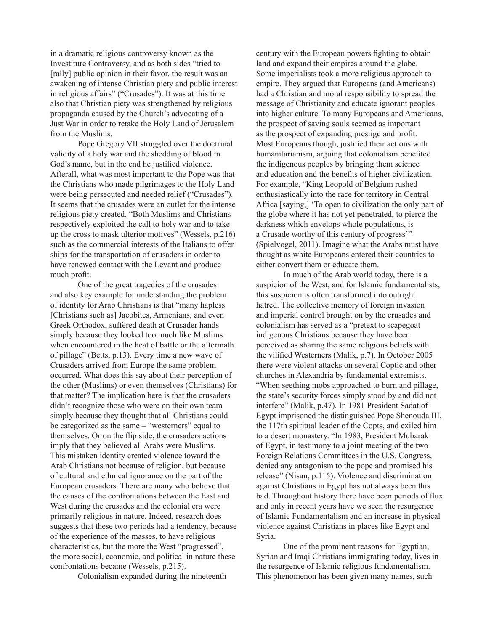in a dramatic religious controversy known as the Investiture Controversy, and as both sides "tried to [rally] public opinion in their favor, the result was an awakening of intense Christian piety and public interest in religious affairs" ("Crusades"). It was at this time also that Christian piety was strengthened by religious propaganda caused by the Church's advocating of a Just War in order to retake the Holy Land of Jerusalem from the Muslims.

Pope Gregory VII struggled over the doctrinal validity of a holy war and the shedding of blood in God's name, but in the end he justified violence. Afterall, what was most important to the Pope was that the Christians who made pilgrimages to the Holy Land were being persecuted and needed relief ("Crusades"). It seems that the crusades were an outlet for the intense religious piety created. "Both Muslims and Christians respectively exploited the call to holy war and to take up the cross to mask ulterior motives" (Wessels, p.216) such as the commercial interests of the Italians to offer ships for the transportation of crusaders in order to have renewed contact with the Levant and produce much profit.

One of the great tragedies of the crusades and also key example for understanding the problem of identity for Arab Christians is that "many hapless [Christians such as] Jacobites, Armenians, and even Greek Orthodox, suffered death at Crusader hands simply because they looked too much like Muslims when encountered in the heat of battle or the aftermath of pillage" (Betts, p.13). Every time a new wave of Crusaders arrived from Europe the same problem occurred. What does this say about their perception of the other (Muslims) or even themselves (Christians) for that matter? The implication here is that the crusaders didn't recognize those who were on their own team simply because they thought that all Christians could be categorized as the same – "westerners" equal to themselves. Or on the flip side, the crusaders actions imply that they believed all Arabs were Muslims. This mistaken identity created violence toward the Arab Christians not because of religion, but because of cultural and ethnical ignorance on the part of the European crusaders. There are many who believe that the causes of the confrontations between the East and West during the crusades and the colonial era were primarily religious in nature. Indeed, research does suggests that these two periods had a tendency, because of the experience of the masses, to have religious characteristics, but the more the West "progressed", the more social, economic, and political in nature these confrontations became (Wessels, p.215).

Colonialism expanded during the nineteenth

century with the European powers fighting to obtain land and expand their empires around the globe. Some imperialists took a more religious approach to empire. They argued that Europeans (and Americans) had a Christian and moral responsibility to spread the message of Christianity and educate ignorant peoples into higher culture. To many Europeans and Americans, the prospect of saving souls seemed as important as the prospect of expanding prestige and profit. Most Europeans though, justified their actions with humanitarianism, arguing that colonialism benefited the indigenous peoples by bringing them science and education and the benefits of higher civilization. For example, "King Leopold of Belgium rushed enthusiastically into the race for territory in Central Africa [saying,] 'To open to civilization the only part of the globe where it has not yet penetrated, to pierce the darkness which envelops whole populations, is a Crusade worthy of this century of progress'" (Spielvogel, 2011). Imagine what the Arabs must have thought as white Europeans entered their countries to either convert them or educate them.

In much of the Arab world today, there is a suspicion of the West, and for Islamic fundamentalists, this suspicion is often transformed into outright hatred. The collective memory of foreign invasion and imperial control brought on by the crusades and colonialism has served as a "pretext to scapegoat indigenous Christians because they have been perceived as sharing the same religious beliefs with the vilified Westerners (Malik, p.7). In October 2005 there were violent attacks on several Coptic and other churches in Alexandria by fundamental extremists. "When seething mobs approached to burn and pillage, the state's security forces simply stood by and did not interfere" (Malik, p.47). In 1981 President Sadat of Egypt imprisoned the distinguished Pope Shenouda III, the 117th spiritual leader of the Copts, and exiled him to a desert monastery. "In 1983, President Mubarak of Egypt, in testimony to a joint meeting of the two Foreign Relations Committees in the U.S. Congress, denied any antagonism to the pope and promised his release" (Nisan, p.115). Violence and discrimination against Christians in Egypt has not always been this bad. Throughout history there have been periods of flux and only in recent years have we seen the resurgence of Islamic Fundamentalism and an increase in physical violence against Christians in places like Egypt and Syria.

One of the prominent reasons for Egyptian, Syrian and Iraqi Christians immigrating today, lives in the resurgence of Islamic religious fundamentalism. This phenomenon has been given many names, such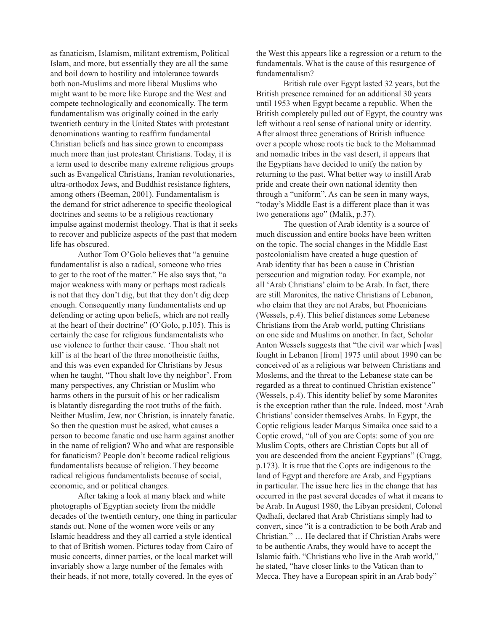as fanaticism, Islamism, militant extremism, Political Islam, and more, but essentially they are all the same and boil down to hostility and intolerance towards both non-Muslims and more liberal Muslims who might want to be more like Europe and the West and compete technologically and economically. The term fundamentalism was originally coined in the early twentieth century in the United States with protestant denominations wanting to reaffirm fundamental Christian beliefs and has since grown to encompass much more than just protestant Christians. Today, it is a term used to describe many extreme religious groups such as Evangelical Christians, Iranian revolutionaries, ultra-orthodox Jews, and Buddhist resistance fighters, among others (Beeman, 2001). Fundamentalism is the demand for strict adherence to specific theological doctrines and seems to be a religious reactionary impulse against modernist theology. That is that it seeks to recover and publicize aspects of the past that modern life has obscured.

Author Tom O'Golo believes that "a genuine fundamentalist is also a radical, someone who tries to get to the root of the matter." He also says that, "a major weakness with many or perhaps most radicals is not that they don't dig, but that they don't dig deep enough. Consequently many fundamentalists end up defending or acting upon beliefs, which are not really at the heart of their doctrine" (O'Golo, p.105). This is certainly the case for religious fundamentalists who use violence to further their cause. 'Thou shalt not kill' is at the heart of the three monotheistic faiths, and this was even expanded for Christians by Jesus when he taught, "Thou shalt love thy neighbor'. From many perspectives, any Christian or Muslim who harms others in the pursuit of his or her radicalism is blatantly disregarding the root truths of the faith. Neither Muslim, Jew, nor Christian, is innately fanatic. So then the question must be asked, what causes a person to become fanatic and use harm against another in the name of religion? Who and what are responsible for fanaticism? People don't become radical religious fundamentalists because of religion. They become radical religious fundamentalists because of social, economic, and or political changes.

After taking a look at many black and white photographs of Egyptian society from the middle decades of the twentieth century, one thing in particular stands out. None of the women wore veils or any Islamic headdress and they all carried a style identical to that of British women. Pictures today from Cairo of music concerts, dinner parties, or the local market will invariably show a large number of the females with their heads, if not more, totally covered. In the eyes of

the West this appears like a regression or a return to the fundamentals. What is the cause of this resurgence of fundamentalism?

British rule over Egypt lasted 32 years, but the British presence remained for an additional 30 years until 1953 when Egypt became a republic. When the British completely pulled out of Egypt, the country was left without a real sense of national unity or identity. After almost three generations of British influence over a people whose roots tie back to the Mohammad and nomadic tribes in the vast desert, it appears that the Egyptians have decided to unify the nation by returning to the past. What better way to instill Arab pride and create their own national identity then through a "uniform". As can be seen in many ways, "today's Middle East is a different place than it was two generations ago" (Malik, p.37).

The question of Arab identity is a source of much discussion and entire books have been written on the topic. The social changes in the Middle East postcolonialism have created a huge question of Arab identity that has been a cause in Christian persecution and migration today. For example, not all 'Arab Christians' claim to be Arab. In fact, there are still Maronites, the native Christians of Lebanon, who claim that they are not Arabs, but Phoenicians (Wessels, p.4). This belief distances some Lebanese Christians from the Arab world, putting Christians on one side and Muslims on another. In fact, Scholar Anton Wessels suggests that "the civil war which [was] fought in Lebanon [from] 1975 until about 1990 can be conceived of as a religious war between Christians and Moslems, and the threat to the Lebanese state can be regarded as a threat to continued Christian existence" (Wessels, p.4). This identity belief by some Maronites is the exception rather than the rule. Indeed, most 'Arab Christians' consider themselves Arabs. In Egypt, the Coptic religious leader Marqus Simaika once said to a Coptic crowd, "all of you are Copts: some of you are Muslim Copts, others are Christian Copts but all of you are descended from the ancient Egyptians" (Cragg, p.173). It is true that the Copts are indigenous to the land of Egypt and therefore are Arab, and Egyptians in particular. The issue here lies in the change that has occurred in the past several decades of what it means to be Arab. In August 1980, the Libyan president, Colonel Qadhafi, declared that Arab Christians simply had to convert, since "it is a contradiction to be both Arab and Christian." … He declared that if Christian Arabs were to be authentic Arabs, they would have to accept the Islamic faith. "Christians who live in the Arab world," he stated, "have closer links to the Vatican than to Mecca. They have a European spirit in an Arab body"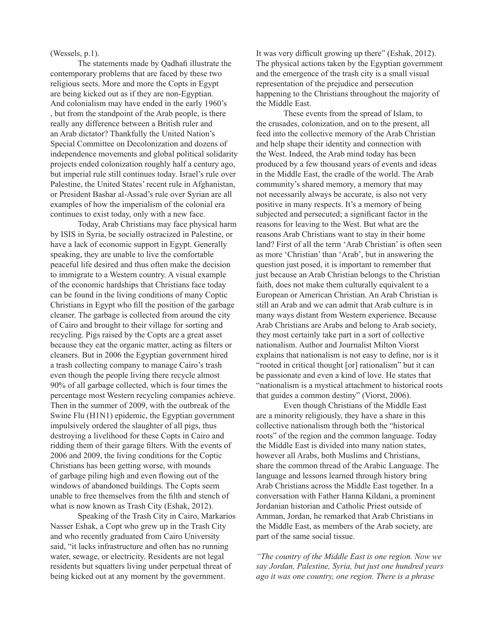(Wessels, p.1).

The statements made by Qadhafi illustrate the contemporary problems that are faced by these two religious sects. More and more the Copts in Egypt are being kicked out as if they are non-Egyptian. And colonialism may have ended in the early 1960's , but from the standpoint of the Arab people, is there really any difference between a British ruler and an Arab dictator? Thankfully the United Nation's Special Committee on Decolonization and dozens of independence movements and global political solidarity projects ended colonization roughly half a century ago, but imperial rule still continues today. Israel's rule over Palestine, the United States' recent rule in Afghanistan, or President Bashar al-Assad's rule over Syrian are all examples of how the imperialism of the colonial era continues to exist today, only with a new face.

Today, Arab Christians may face physical harm by ISIS in Syria, be socially ostracized in Palestine, or have a lack of economic support in Egypt. Generally speaking, they are unable to live the comfortable peaceful life desired and thus often make the decision to immigrate to a Western country. A visual example of the economic hardships that Christians face today can be found in the living conditions of many Coptic Christians in Egypt who fill the position of the garbage cleaner. The garbage is collected from around the city of Cairo and brought to their village for sorting and recycling. Pigs raised by the Copts are a great asset because they eat the organic matter, acting as filters or cleaners. But in 2006 the Egyptian government hired a trash collecting company to manage Cairo's trash even though the people living there recycle almost 90% of all garbage collected, which is four times the percentage most Western recycling companies achieve. Then in the summer of 2009, with the outbreak of the Swine Flu (H1N1) epidemic, the Egyptian government impulsively ordered the slaughter of all pigs, thus destroying a livelihood for these Copts in Cairo and ridding them of their garage filters. With the events of 2006 and 2009, the living conditions for the Coptic Christians has been getting worse, with mounds of garbage piling high and even flowing out of the windows of abandoned buildings. The Copts seem unable to free themselves from the filth and stench of what is now known as Trash City (Eshak, 2012).

Speaking of the Trash City in Cairo, Markarios Nasser Eshak, a Copt who grew up in the Trash City and who recently graduated from Cairo University said, "it lacks infrastructure and often has no running water, sewage, or electricity. Residents are not legal residents but squatters living under perpetual threat of being kicked out at any moment by the government.

It was very difficult growing up there" (Eshak, 2012). The physical actions taken by the Egyptian government and the emergence of the trash city is a small visual representation of the prejudice and persecution happening to the Christians throughout the majority of the Middle East.

These events from the spread of Islam, to the crusades, colonization, and on to the present, all feed into the collective memory of the Arab Christian and help shape their identity and connection with the West. Indeed, the Arab mind today has been produced by a few thousand years of events and ideas in the Middle East, the cradle of the world. The Arab community's shared memory, a memory that may not necessarily always be accurate, is also not very positive in many respects. It's a memory of being subjected and persecuted; a significant factor in the reasons for leaving to the West. But what are the reasons Arab Christians want to stay in their home land? First of all the term 'Arab Christian' is often seen as more 'Christian' than 'Arab', but in answering the question just posed, it is important to remember that just because an Arab Christian belongs to the Christian faith, does not make them culturally equivalent to a European or American Christian. An Arab Christian is still an Arab and we can admit that Arab culture is in many ways distant from Western experience. Because Arab Christians are Arabs and belong to Arab society, they most certainly take part in a sort of collective nationalism. Author and Journalist Milton Viorst explains that nationalism is not easy to define, nor is it "rooted in critical thought [or] rationalism" but it can be passionate and even a kind of love. He states that "nationalism is a mystical attachment to historical roots that guides a common destiny" (Viorst, 2006).

Even though Christians of the Middle East are a minority religiously, they have a share in this collective nationalism through both the "historical roots" of the region and the common language. Today the Middle East is divided into many nation states, however all Arabs, both Muslims and Christians, share the common thread of the Arabic Language. The language and lessons learned through history bring Arab Christians across the Middle East together. In a conversation with Father Hanna Kildani, a prominent Jordanian historian and Catholic Priest outside of Amman, Jordan, he remarked that Arab Christians in the Middle East, as members of the Arab society, are part of the same social tissue.

*"The country of the Middle East is one region. Now we say Jordan, Palestine, Syria, but just one hundred years ago it was one country, one region. There is a phrase*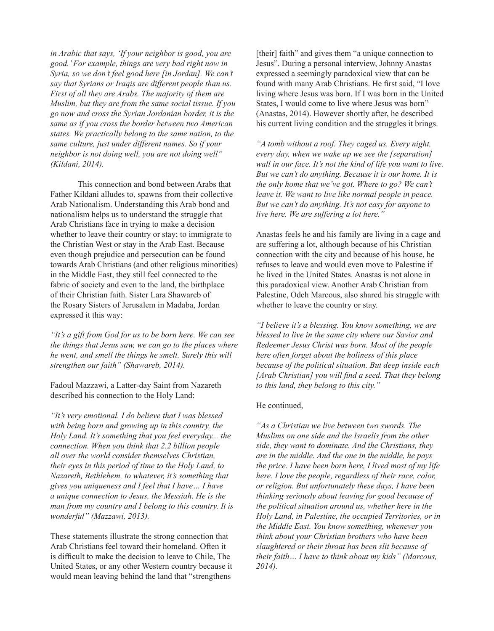*in Arabic that says, 'If your neighbor is good, you are good.' For example, things are very bad right now in Syria, so we don't feel good here [in Jordan]. We can't say that Syrians or Iraqis are different people than us. First of all they are Arabs. The majority of them are Muslim, but they are from the same social tissue. If you go now and cross the Syrian Jordanian border, it is the same as if you cross the border between two American states. We practically belong to the same nation, to the same culture, just under different names. So if your neighbor is not doing well, you are not doing well" (Kildani, 2014).*

This connection and bond between Arabs that Father Kildani alludes to, spawns from their collective Arab Nationalism. Understanding this Arab bond and nationalism helps us to understand the struggle that Arab Christians face in trying to make a decision whether to leave their country or stay; to immigrate to the Christian West or stay in the Arab East. Because even though prejudice and persecution can be found towards Arab Christians (and other religious minorities) in the Middle East, they still feel connected to the fabric of society and even to the land, the birthplace of their Christian faith. Sister Lara Shawareb of the Rosary Sisters of Jerusalem in Madaba, Jordan expressed it this way:

*"It's a gift from God for us to be born here. We can see the things that Jesus saw, we can go to the places where he went, and smell the things he smelt. Surely this will strengthen our faith" (Shawareb, 2014).*

Fadoul Mazzawi, a Latter-day Saint from Nazareth described his connection to the Holy Land:

*"It's very emotional. I do believe that I was blessed with being born and growing up in this country, the Holy Land. It's something that you feel everyday... the connection. When you think that 2.2 billion people all over the world consider themselves Christian, their eyes in this period of time to the Holy Land, to Nazareth, Bethlehem, to whatever, it's something that gives you uniqueness and I feel that I have… I have a unique connection to Jesus, the Messiah. He is the man from my country and I belong to this country. It is wonderful" (Mazzawi, 2013).*

These statements illustrate the strong connection that Arab Christians feel toward their homeland. Often it is difficult to make the decision to leave to Chile, The United States, or any other Western country because it would mean leaving behind the land that "strengthens

[their] faith" and gives them "a unique connection to Jesus". During a personal interview, Johnny Anastas expressed a seemingly paradoxical view that can be found with many Arab Christians. He first said, "I love living where Jesus was born. If I was born in the United States, I would come to live where Jesus was born" (Anastas, 2014). However shortly after, he described his current living condition and the struggles it brings.

*"A tomb without a roof. They caged us. Every night, every day, when we wake up we see the [separation] wall in our face. It's not the kind of life you want to live. But we can't do anything. Because it is our home. It is the only home that we've got. Where to go? We can't leave it. We want to live like normal people in peace. But we can't do anything. It's not easy for anyone to live here. We are suffering a lot here."*

Anastas feels he and his family are living in a cage and are suffering a lot, although because of his Christian connection with the city and because of his house, he refuses to leave and would even move to Palestine if he lived in the United States. Anastas is not alone in this paradoxical view. Another Arab Christian from Palestine, Odeh Marcous, also shared his struggle with whether to leave the country or stay.

*"I believe it's a blessing. You know something, we are blessed to live in the same city where our Savior and Redeemer Jesus Christ was born. Most of the people here often forget about the holiness of this place because of the political situation. But deep inside each [Arab Christian] you will find a seed. That they belong to this land, they belong to this city."* 

## He continued,

*"As a Christian we live between two swords. The Muslims on one side and the Israelis from the other side, they want to dominate. And the Christians, they are in the middle. And the one in the middle, he pays the price. I have been born here, I lived most of my life here. I love the people, regardless of their race, color, or religion. But unfortunately these days, I have been thinking seriously about leaving for good because of the political situation around us, whether here in the Holy Land, in Palestine, the occupied Territories, or in the Middle East. You know something, whenever you think about your Christian brothers who have been slaughtered or their throat has been slit because of their faith… I have to think about my kids" (Marcous, 2014).*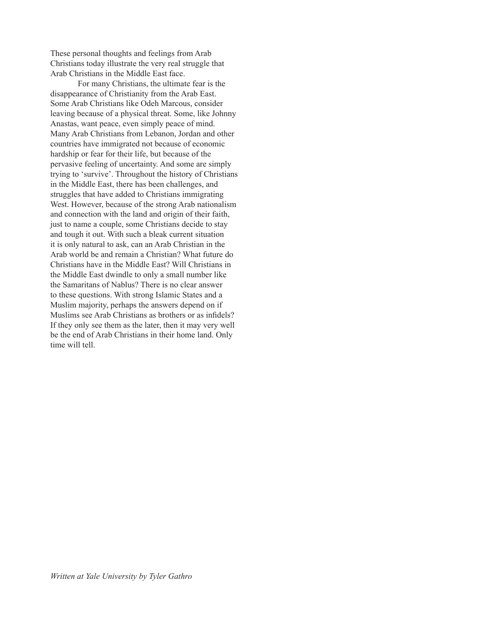These personal thoughts and feelings from Arab Christians today illustrate the very real struggle that Arab Christians in the Middle East face.

For many Christians, the ultimate fear is the disappearance of Christianity from the Arab East. Some Arab Christians like Odeh Marcous, consider leaving because of a physical threat. Some, like Johnny Anastas, want peace, even simply peace of mind. Many Arab Christians from Lebanon, Jordan and other countries have immigrated not because of economic hardship or fear for their life, but because of the pervasive feeling of uncertainty. And some are simply trying to 'survive'. Throughout the history of Christians in the Middle East, there has been challenges, and struggles that have added to Christians immigrating West. However, because of the strong Arab nationalism and connection with the land and origin of their faith, just to name a couple, some Christians decide to stay and tough it out. With such a bleak current situation it is only natural to ask, can an Arab Christian in the Arab world be and remain a Christian? What future do Christians have in the Middle East? Will Christians in the Middle East dwindle to only a small number like the Samaritans of Nablus? There is no clear answer to these questions. With strong Islamic States and a Muslim majority, perhaps the answers depend on if Muslims see Arab Christians as brothers or as infidels? If they only see them as the later, then it may very well be the end of Arab Christians in their home land. Only time will tell.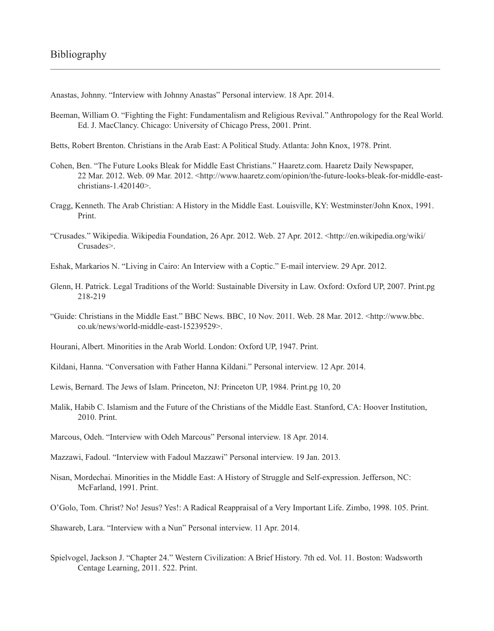Anastas, Johnny. "Interview with Johnny Anastas" Personal interview. 18 Apr. 2014.

Beeman, William O. "Fighting the Fight: Fundamentalism and Religious Revival." Anthropology for the Real World. Ed. J. MacClancy. Chicago: University of Chicago Press, 2001. Print.

 $\mathcal{L}_\mathcal{L} = \mathcal{L}_\mathcal{L} = \mathcal{L}_\mathcal{L} = \mathcal{L}_\mathcal{L} = \mathcal{L}_\mathcal{L} = \mathcal{L}_\mathcal{L} = \mathcal{L}_\mathcal{L} = \mathcal{L}_\mathcal{L} = \mathcal{L}_\mathcal{L} = \mathcal{L}_\mathcal{L} = \mathcal{L}_\mathcal{L} = \mathcal{L}_\mathcal{L} = \mathcal{L}_\mathcal{L} = \mathcal{L}_\mathcal{L} = \mathcal{L}_\mathcal{L} = \mathcal{L}_\mathcal{L} = \mathcal{L}_\mathcal{L}$ 

Betts, Robert Brenton. Christians in the Arab East: A Political Study. Atlanta: John Knox, 1978. Print.

- Cohen, Ben. "The Future Looks Bleak for Middle East Christians." Haaretz.com. Haaretz Daily Newspaper, 22 Mar. 2012. Web. 09 Mar. 2012. <http://www.haaretz.com/opinion/the-future-looks-bleak-for-middle-eastchristians-1.420140>.
- Cragg, Kenneth. The Arab Christian: A History in the Middle East. Louisville, KY: Westminster/John Knox, 1991. Print.
- "Crusades." Wikipedia. Wikipedia Foundation, 26 Apr. 2012. Web. 27 Apr. 2012. <http://en.wikipedia.org/wiki/ Crusades>.
- Eshak, Markarios N. "Living in Cairo: An Interview with a Coptic." E-mail interview. 29 Apr. 2012.
- Glenn, H. Patrick. Legal Traditions of the World: Sustainable Diversity in Law. Oxford: Oxford UP, 2007. Print.pg 218-219
- "Guide: Christians in the Middle East." BBC News. BBC, 10 Nov. 2011. Web. 28 Mar. 2012. <http://www.bbc. co.uk/news/world-middle-east-15239529>.
- Hourani, Albert. Minorities in the Arab World. London: Oxford UP, 1947. Print.
- Kildani, Hanna. "Conversation with Father Hanna Kildani." Personal interview. 12 Apr. 2014.
- Lewis, Bernard. The Jews of Islam. Princeton, NJ: Princeton UP, 1984. Print.pg 10, 20
- Malik, Habib C. Islamism and the Future of the Christians of the Middle East. Stanford, CA: Hoover Institution, 2010. Print.
- Marcous, Odeh. "Interview with Odeh Marcous" Personal interview. 18 Apr. 2014.
- Mazzawi, Fadoul. "Interview with Fadoul Mazzawi" Personal interview. 19 Jan. 2013.
- Nisan, Mordechai. Minorities in the Middle East: A History of Struggle and Self-expression. Jefferson, NC: McFarland, 1991. Print.
- O'Golo, Tom. Christ? No! Jesus? Yes!: A Radical Reappraisal of a Very Important Life. Zimbo, 1998. 105. Print.

Shawareb, Lara. "Interview with a Nun" Personal interview. 11 Apr. 2014.

Spielvogel, Jackson J. "Chapter 24." Western Civilization: A Brief History. 7th ed. Vol. 11. Boston: Wadsworth Centage Learning, 2011. 522. Print.